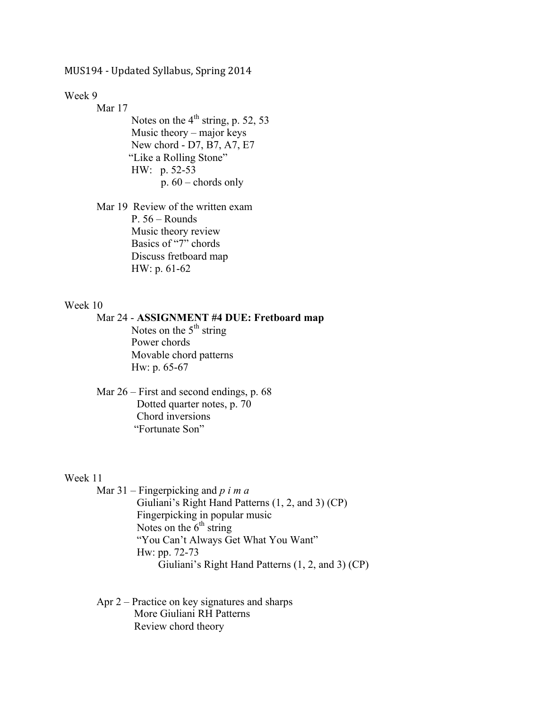MUS194 - Updated Syllabus, Spring 2014

Week 9

Mar 17 Notes on the  $4<sup>th</sup>$  string, p. 52, 53 Music theory – major keys New chord - D7, B7, A7, E7 "Like a Rolling Stone" HW: p. 52-53 p. 60 – chords only

Mar 19 Review of the written exam P. 56 – Rounds Music theory review Basics of "7" chords Discuss fretboard map HW: p. 61-62

# Week 10

Mar 24 - **ASSIGNMENT #4 DUE: Fretboard map** Notes on the  $5<sup>th</sup>$  string Power chords Movable chord patterns Hw: p. 65-67

Mar 26 – First and second endings, p. 68 Dotted quarter notes, p. 70 Chord inversions "Fortunate Son"

#### Week 11

Mar 31 – Fingerpicking and *p i m a* Giuliani's Right Hand Patterns (1, 2, and 3) (CP) Fingerpicking in popular music Notes on the  $6<sup>th</sup>$  string "You Can't Always Get What You Want" Hw: pp. 72-73 Giuliani's Right Hand Patterns (1, 2, and 3) (CP)

Apr 2 – Practice on key signatures and sharps More Giuliani RH Patterns Review chord theory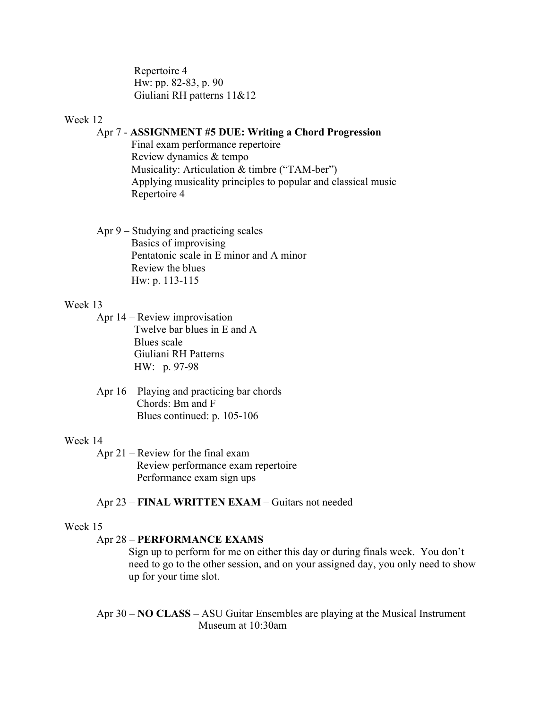Repertoire 4 Hw: pp. 82-83, p. 90 Giuliani RH patterns 11&12

# Week 12

# Apr 7 - **ASSIGNMENT #5 DUE: Writing a Chord Progression**

Final exam performance repertoire Review dynamics & tempo Musicality: Articulation & timbre ("TAM-ber") Applying musicality principles to popular and classical music Repertoire 4

Apr 9 – Studying and practicing scales Basics of improvising Pentatonic scale in E minor and A minor Review the blues Hw: p. 113-115

#### Week 13

Apr 14 – Review improvisation Twelve bar blues in E and A Blues scale Giuliani RH Patterns HW: p. 97-98

Apr 16 – Playing and practicing bar chords Chords: Bm and F Blues continued: p. 105-106

#### Week 14

Apr 21 – Review for the final exam Review performance exam repertoire Performance exam sign ups

Apr 23 – **FINAL WRITTEN EXAM** – Guitars not needed

#### Week 15

#### Apr 28 – **PERFORMANCE EXAMS**

Sign up to perform for me on either this day or during finals week. You don't need to go to the other session, and on your assigned day, you only need to show up for your time slot.

Apr 30 – **NO CLASS** – ASU Guitar Ensembles are playing at the Musical Instrument Museum at 10:30am